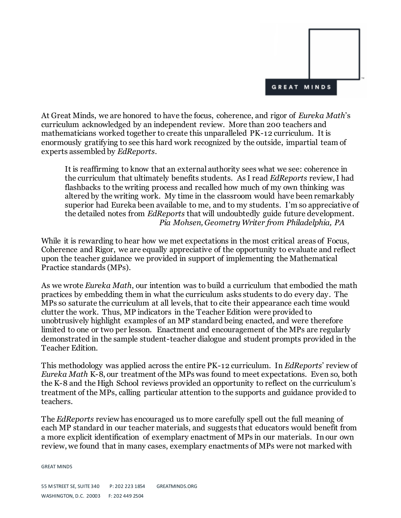

At Great Minds, we are honored to have the focus, coherence, and rigor of *Eureka Math*'s curriculum acknowledged by an independent review. More than 200 teachers and mathematicians worked together to create this unparalleled PK-12 curriculum. It is enormously gratifying to see this hard work recognized by the outside, impartial team of experts assembled by *EdReports*.

It is reaffirming to know that an external authority sees what we see: coherence in the curriculum that ultimately benefits students. As I read *EdReports* review, I had flashbacks to the writing process and recalled how much of my own thinking was altered by the writing work. My time in the classroom would have been remarkably superior had Eureka been available to me, and to my students. I'm so appreciative of the detailed notes from *EdReports* that will undoubtedly guide future development. *Pia Mohsen, Geometry Writer from Philadelphia, PA*

While it is rewarding to hear how we met expectations in the most critical areas of Focus, Coherence and Rigor, we are equally appreciative of the opportunity to evaluate and reflect upon the teacher guidance we provided in support of implementing the Mathematical Practice standards (MPs).

As we wrote *Eureka Math*, our intention was to build a curriculum that embodied the math practices by embedding them in what the curriculum asks students to do every day. The MPs so saturate the curriculum at all levels, that to cite their appearance each time would clutter the work. Thus, MP indicators in the Teacher Edition were provided to unobtrusively highlight examples of an MP standard being enacted, and were therefore limited to one or two per lesson. Enactment and encouragement of the MPs are regularly demonstrated in the sample student-teacher dialogue and student prompts provided in the Teacher Edition.

This methodology was applied across the entire PK-12 curriculum. In *EdReports*' review of *Eureka Math* K-8, our treatment of the MPs was found to meet expectations. Even so, both the K-8 and the High School reviews provided an opportunity to reflect on the curriculum's treatment of the MPs, calling particular attention to the supports and guidance provided to teachers.

The *EdReports* review has encouraged us to more carefully spell out the full meaning of each MP standard in our teacher materials, and suggests that educators would benefit from a more explicit identification of exemplary enactment of MPs in our materials. In our own review, we found that in many cases, exemplary enactments of MPs were not marked with

GREAT MINDS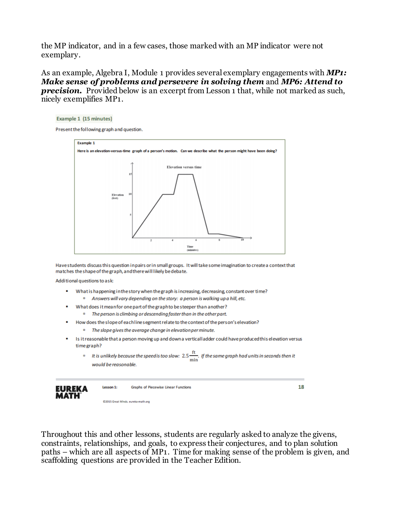the MP indicator, and in a few cases, those marked with an MP indicator were not exemplary.

As an example, Algebra I, Module 1 provides several exemplary engagements with *MP1: Make sense of problems and persevere in solving them* and *MP6: Attend to*  **precision.** Provided below is an excerpt from Lesson 1 that, while not marked as such, nicely exemplifies MP1.



Have students discuss this question in pairs or in small groups. It will take some imagination to create a context that matches the shape of the graph, and there will likely be debate.

Additional questions to ask:

- $\blacksquare$ What is happening in the story when the graph is increasing, decreasing, constant over time? a Answers will vary depending on the story: a person is walking up a hill, etc.
- What does it mean for one part of the graph to be steeper than another? <sup>a</sup> The person is climbing or descending faster than in the other part.
	- How does the slope of each line segment relate to the context of the person's elevation?
		- <sup>a</sup> The slope gives the average change in elevation per minute.
- Is it reasonable that a person moving up and down a vertical ladder could have produced this elevation versus time graph?
	- <sup>a</sup> It is unlikely because the speed is too slow:  $2.5\frac{\text{ft}}{\text{min}}$ . If the same graph had units in seconds then it would be reasonable.



Throughout this and other lessons, students are regularly asked to analyze the givens, constraints, relationships, and goals, to express their conjectures, and to plan solution paths – which are all aspects of MP1. Time for making sense of the problem is given, and scaffolding questions are provided in the Teacher Edition.

18